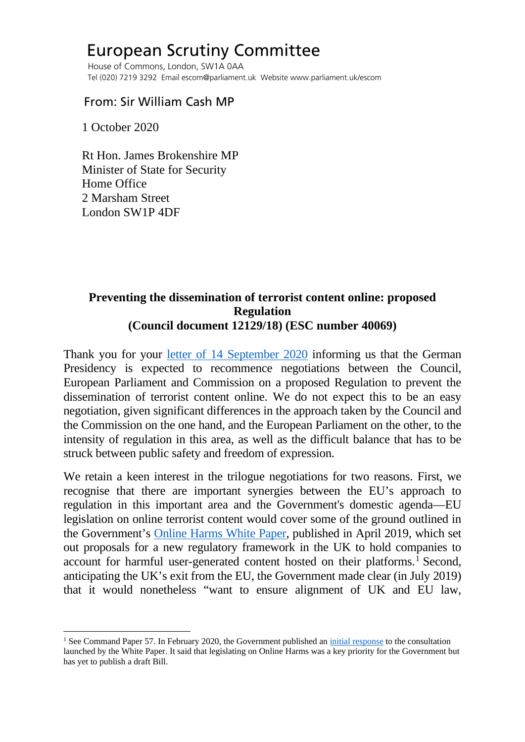## European Scrutiny Committee

 House of Commons, London, SW1A 0AA Tel (020) 7219 3292 Email escom@parliament.uk Website www.parliament.uk/escom

## From: Sir William Cash MP

1 October 2020

 Rt Hon. James Brokenshire MP Minister of State for Security Home Office 2 Marsham Street London SW1P 4DF

## **Preventing the dissemination of terrorist content online: proposed Regulation (Council document 12129/18) (ESC number 40069)**

Thank you for your [letter of 14 September 2020](http://europeanmemoranda.cabinetoffice.gov.uk/files/2020/09/Letter_from_the_Security_Minister_to_ESC_Chair_14092020.pdf) informing us that the German Presidency is expected to recommence negotiations between the Council, European Parliament and Commission on a proposed Regulation to prevent the dissemination of terrorist content online. We do not expect this to be an easy negotiation, given significant differences in the approach taken by the Council and the Commission on the one hand, and the European Parliament on the other, to the intensity of regulation in this area, as well as the difficult balance that has to be struck between public safety and freedom of expression.

We retain a keen interest in the trilogue negotiations for two reasons. First, we recognise that there are important synergies between the EU's approach to regulation in this important area and the Government's domestic agenda—EU legislation on online terrorist content would cover some of the ground outlined in the Government's [Online Harms White Paper,](https://assets.publishing.service.gov.uk/government/uploads/system/uploads/attachment_data/file/793360/Online_Harms_White_Paper.pdf) published in April 2019, which set out proposals for a new regulatory framework in the UK to hold companies to account for harmful user-generated content hosted on their platforms.<sup>[1](#page-0-0)</sup> Second, anticipating the UK's exit from the EU, the Government made clear (in July 2019) that it would nonetheless "want to ensure alignment of UK and EU law,

<span id="page-0-0"></span><sup>&</sup>lt;sup>1</sup> See Command Paper 57. In February 2020, the Government published an *initial response* to the consultation launched by the White Paper. It said that legislating on Online Harms was a key priority for the Government but has yet to publish a draft Bill.